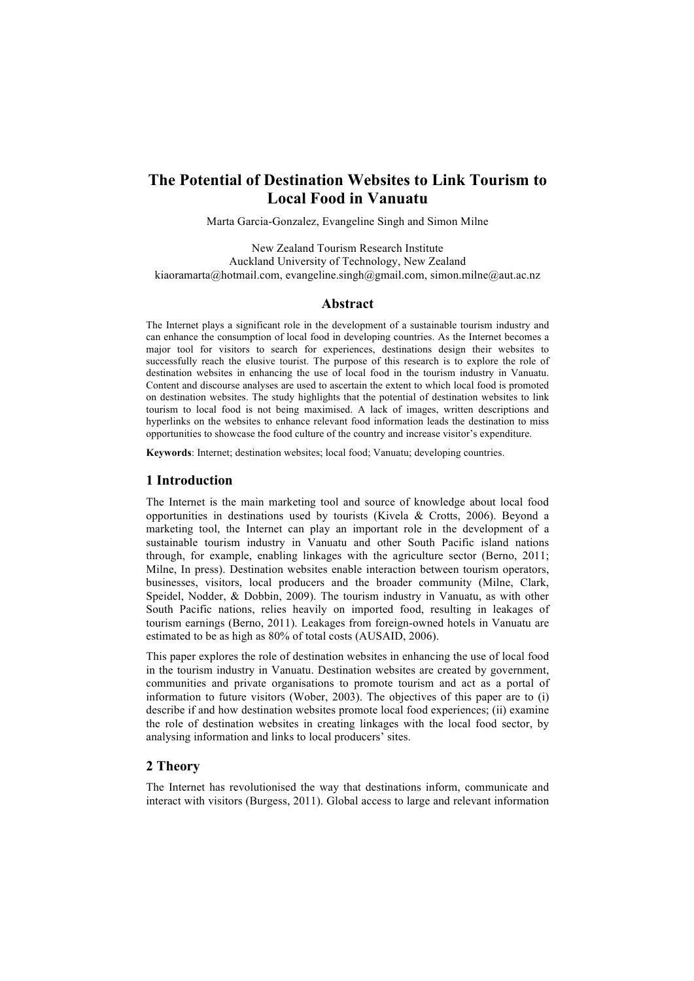# **The Potential of Destination Websites to Link Tourism to Local Food in Vanuatu**

Marta Garcia-Gonzalez, Evangeline Singh and Simon Milne

New Zealand Tourism Research Institute Auckland University of Technology, New Zealand kiaoramarta@hotmail.com, evangeline.singh@gmail.com, simon.milne@aut.ac.nz

#### **Abstract**

The Internet plays a significant role in the development of a sustainable tourism industry and can enhance the consumption of local food in developing countries. As the Internet becomes a major tool for visitors to search for experiences, destinations design their websites to successfully reach the elusive tourist. The purpose of this research is to explore the role of destination websites in enhancing the use of local food in the tourism industry in Vanuatu. Content and discourse analyses are used to ascertain the extent to which local food is promoted on destination websites. The study highlights that the potential of destination websites to link tourism to local food is not being maximised. A lack of images, written descriptions and hyperlinks on the websites to enhance relevant food information leads the destination to miss opportunities to showcase the food culture of the country and increase visitor's expenditure.

**Keywords**: Internet; destination websites; local food; Vanuatu; developing countries.

### **1 Introduction**

The Internet is the main marketing tool and source of knowledge about local food opportunities in destinations used by tourists (Kivela & Crotts, 2006). Beyond a marketing tool, the Internet can play an important role in the development of a sustainable tourism industry in Vanuatu and other South Pacific island nations through, for example, enabling linkages with the agriculture sector (Berno, 2011; Milne, In press). Destination websites enable interaction between tourism operators, businesses, visitors, local producers and the broader community (Milne, Clark, Speidel, Nodder, & Dobbin, 2009). The tourism industry in Vanuatu, as with other South Pacific nations, relies heavily on imported food, resulting in leakages of tourism earnings (Berno, 2011). Leakages from foreign-owned hotels in Vanuatu are estimated to be as high as 80% of total costs (AUSAID, 2006).

This paper explores the role of destination websites in enhancing the use of local food in the tourism industry in Vanuatu. Destination websites are created by government, communities and private organisations to promote tourism and act as a portal of information to future visitors (Wober, 2003). The objectives of this paper are to (i) describe if and how destination websites promote local food experiences; (ii) examine the role of destination websites in creating linkages with the local food sector, by analysing information and links to local producers' sites.

## **2 Theory**

The Internet has revolutionised the way that destinations inform, communicate and interact with visitors (Burgess, 2011). Global access to large and relevant information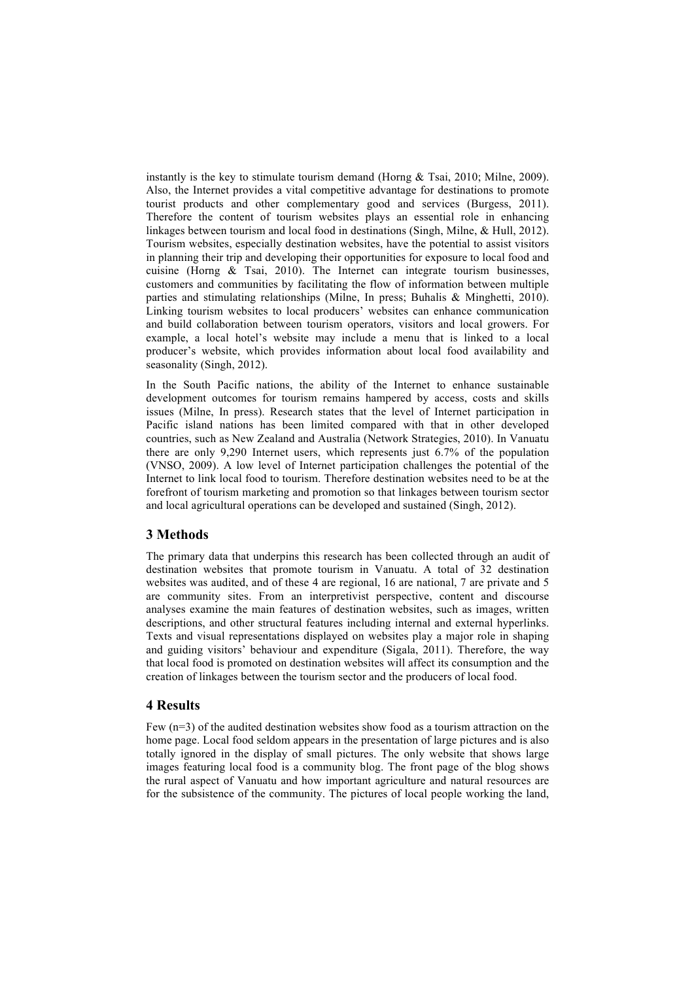instantly is the key to stimulate tourism demand (Horng & Tsai, 2010; Milne, 2009). Also, the Internet provides a vital competitive advantage for destinations to promote tourist products and other complementary good and services (Burgess, 2011). Therefore the content of tourism websites plays an essential role in enhancing linkages between tourism and local food in destinations (Singh, Milne, & Hull, 2012). Tourism websites, especially destination websites, have the potential to assist visitors in planning their trip and developing their opportunities for exposure to local food and cuisine (Horng & Tsai, 2010). The Internet can integrate tourism businesses, customers and communities by facilitating the flow of information between multiple parties and stimulating relationships (Milne, In press; Buhalis & Minghetti, 2010). Linking tourism websites to local producers' websites can enhance communication and build collaboration between tourism operators, visitors and local growers. For example, a local hotel's website may include a menu that is linked to a local producer's website, which provides information about local food availability and seasonality (Singh, 2012).

In the South Pacific nations, the ability of the Internet to enhance sustainable development outcomes for tourism remains hampered by access, costs and skills issues (Milne, In press). Research states that the level of Internet participation in Pacific island nations has been limited compared with that in other developed countries, such as New Zealand and Australia (Network Strategies, 2010). In Vanuatu there are only 9,290 Internet users, which represents just 6.7% of the population (VNSO, 2009). A low level of Internet participation challenges the potential of the Internet to link local food to tourism. Therefore destination websites need to be at the forefront of tourism marketing and promotion so that linkages between tourism sector and local agricultural operations can be developed and sustained (Singh, 2012).

### **3 Methods**

The primary data that underpins this research has been collected through an audit of destination websites that promote tourism in Vanuatu. A total of 32 destination websites was audited, and of these 4 are regional, 16 are national, 7 are private and 5 are community sites. From an interpretivist perspective, content and discourse analyses examine the main features of destination websites, such as images, written descriptions, and other structural features including internal and external hyperlinks. Texts and visual representations displayed on websites play a major role in shaping and guiding visitors' behaviour and expenditure (Sigala, 2011). Therefore, the way that local food is promoted on destination websites will affect its consumption and the creation of linkages between the tourism sector and the producers of local food.

#### **4 Results**

Few (n=3) of the audited destination websites show food as a tourism attraction on the home page. Local food seldom appears in the presentation of large pictures and is also totally ignored in the display of small pictures. The only website that shows large images featuring local food is a community blog. The front page of the blog shows the rural aspect of Vanuatu and how important agriculture and natural resources are for the subsistence of the community. The pictures of local people working the land,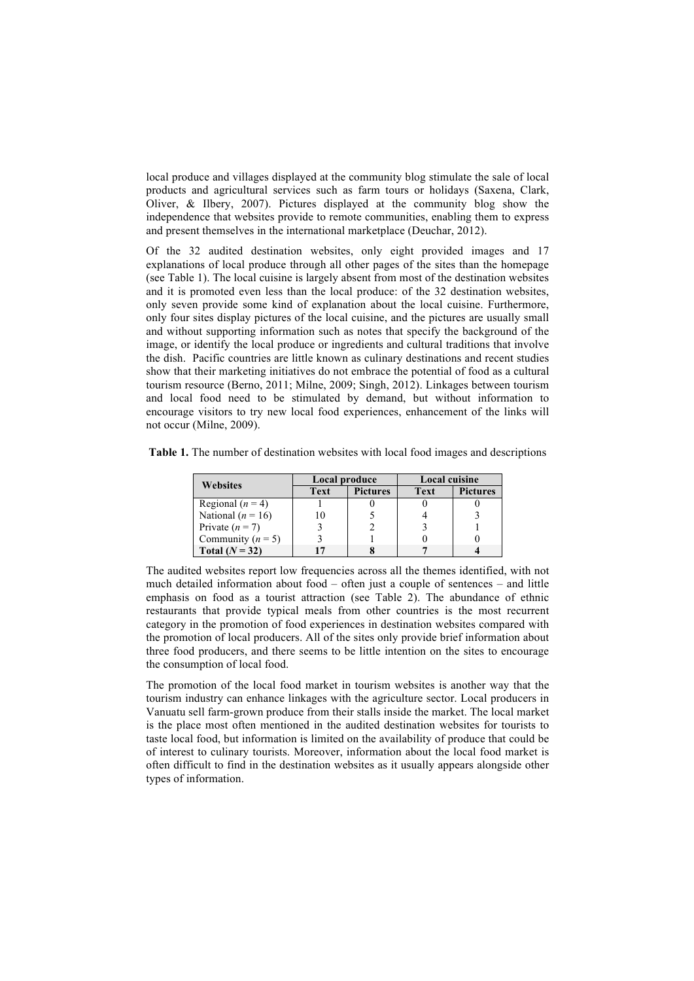local produce and villages displayed at the community blog stimulate the sale of local products and agricultural services such as farm tours or holidays (Saxena, Clark, Oliver, & Ilbery, 2007). Pictures displayed at the community blog show the independence that websites provide to remote communities, enabling them to express and present themselves in the international marketplace (Deuchar, 2012).

Of the 32 audited destination websites, only eight provided images and 17 explanations of local produce through all other pages of the sites than the homepage (see Table 1). The local cuisine is largely absent from most of the destination websites and it is promoted even less than the local produce: of the 32 destination websites, only seven provide some kind of explanation about the local cuisine. Furthermore, only four sites display pictures of the local cuisine, and the pictures are usually small and without supporting information such as notes that specify the background of the image, or identify the local produce or ingredients and cultural traditions that involve the dish. Pacific countries are little known as culinary destinations and recent studies show that their marketing initiatives do not embrace the potential of food as a cultural tourism resource (Berno, 2011; Milne, 2009; Singh, 2012). Linkages between tourism and local food need to be stimulated by demand, but without information to encourage visitors to try new local food experiences, enhancement of the links will not occur (Milne, 2009).

|  |  |  |  | Table 1. The number of destination websites with local food images and descriptions |  |
|--|--|--|--|-------------------------------------------------------------------------------------|--|
|  |  |  |  |                                                                                     |  |

| <b>Websites</b>       | Local produce |                 | <b>Local cuisine</b> |                 |  |
|-----------------------|---------------|-----------------|----------------------|-----------------|--|
|                       | <b>Text</b>   | <b>Pictures</b> | <b>Text</b>          | <b>Pictures</b> |  |
| Regional $(n = 4)$    |               |                 |                      |                 |  |
| National ( $n = 16$ ) |               |                 |                      |                 |  |
| Private $(n = 7)$     |               |                 |                      |                 |  |
| Community ( $n = 5$ ) |               |                 |                      |                 |  |
| Total $(N = 32)$      |               |                 |                      |                 |  |

The audited websites report low frequencies across all the themes identified, with not much detailed information about food – often just a couple of sentences – and little emphasis on food as a tourist attraction (see Table 2). The abundance of ethnic restaurants that provide typical meals from other countries is the most recurrent category in the promotion of food experiences in destination websites compared with the promotion of local producers. All of the sites only provide brief information about three food producers, and there seems to be little intention on the sites to encourage the consumption of local food.

The promotion of the local food market in tourism websites is another way that the tourism industry can enhance linkages with the agriculture sector. Local producers in Vanuatu sell farm-grown produce from their stalls inside the market. The local market is the place most often mentioned in the audited destination websites for tourists to taste local food, but information is limited on the availability of produce that could be of interest to culinary tourists. Moreover, information about the local food market is often difficult to find in the destination websites as it usually appears alongside other types of information.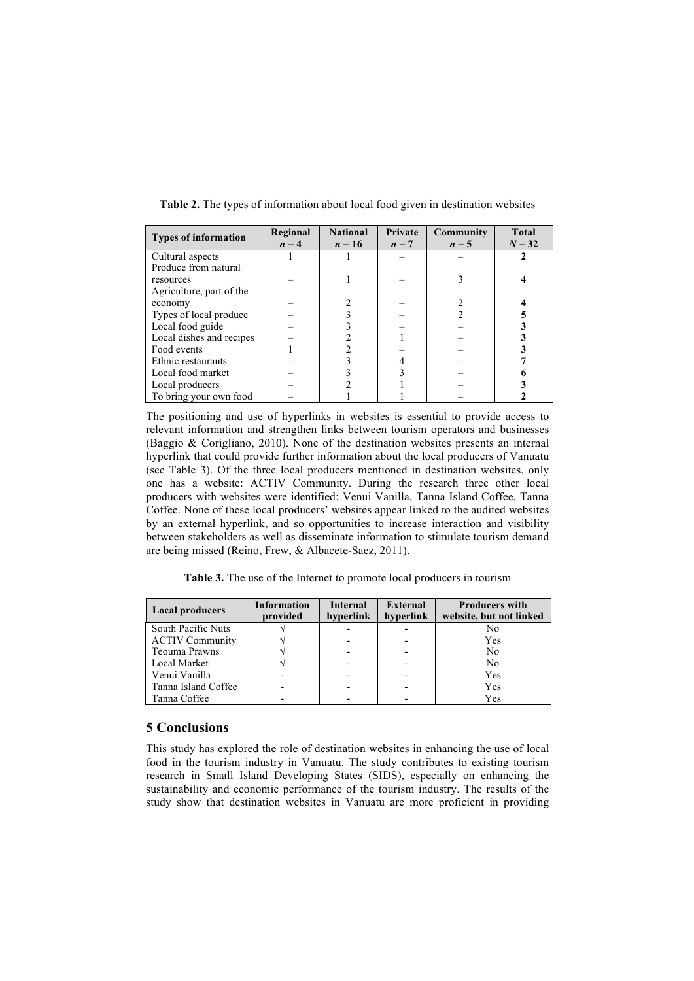| <b>Types of information</b> | Regional<br>$n = 4$ | <b>National</b><br>$n = 16$ | Private<br>$n = 7$ | Community<br>$n = 5$ | <b>Total</b><br>$N = 32$ |
|-----------------------------|---------------------|-----------------------------|--------------------|----------------------|--------------------------|
| Cultural aspects            |                     |                             |                    |                      |                          |
| Produce from natural        |                     |                             |                    |                      |                          |
| resources                   |                     |                             |                    |                      |                          |
| Agriculture, part of the    |                     |                             |                    |                      |                          |
| economy                     |                     |                             |                    |                      |                          |
| Types of local produce      |                     |                             |                    |                      |                          |
| Local food guide            |                     |                             |                    |                      |                          |
| Local dishes and recipes    |                     |                             |                    |                      |                          |
| Food events                 |                     |                             |                    |                      |                          |
| Ethnic restaurants          |                     |                             |                    |                      |                          |
| Local food market           |                     |                             |                    |                      |                          |
| Local producers             |                     |                             |                    |                      |                          |
| To bring your own food      |                     |                             |                    |                      |                          |

**Table 2.** The types of information about local food given in destination websites

The positioning and use of hyperlinks in websites is essential to provide access to relevant information and strengthen links between tourism operators and businesses (Baggio & Corigliano, 2010). None of the destination websites presents an internal hyperlink that could provide further information about the local producers of Vanuatu (see Table 3). Of the three local producers mentioned in destination websites, only one has a website: ACTIV Community. During the research three other local producers with websites were identified: Venui Vanilla, Tanna Island Coffee, Tanna Coffee. None of these local producers' websites appear linked to the audited websites by an external hyperlink, and so opportunities to increase interaction and visibility between stakeholders as well as disseminate information to stimulate tourism demand are being missed (Reino, Frew, & Albacete-Saez, 2011).

**Table 3.** The use of the Internet to promote local producers in tourism

| <b>Local producers</b> | <b>Information</b><br>provided | <b>Internal</b><br>hyperlink | <b>External</b><br>hyperlink | <b>Producers with</b><br>website, but not linked |  |  |
|------------------------|--------------------------------|------------------------------|------------------------------|--------------------------------------------------|--|--|
| South Pacific Nuts     |                                |                              |                              | No                                               |  |  |
| <b>ACTIV Community</b> |                                |                              |                              | Yes                                              |  |  |
| Teouma Prawns          |                                |                              |                              | N <sub>0</sub>                                   |  |  |
| Local Market           |                                |                              |                              | N <sub>0</sub>                                   |  |  |
| Venui Vanilla          |                                |                              |                              | Yes                                              |  |  |
| Tanna Island Coffee    |                                |                              |                              | Yes                                              |  |  |
| Tanna Coffee           |                                |                              |                              | Yes                                              |  |  |

### **5 Conclusions**

This study has explored the role of destination websites in enhancing the use of local food in the tourism industry in Vanuatu. The study contributes to existing tourism research in Small Island Developing States (SIDS), especially on enhancing the sustainability and economic performance of the tourism industry. The results of the study show that destination websites in Vanuatu are more proficient in providing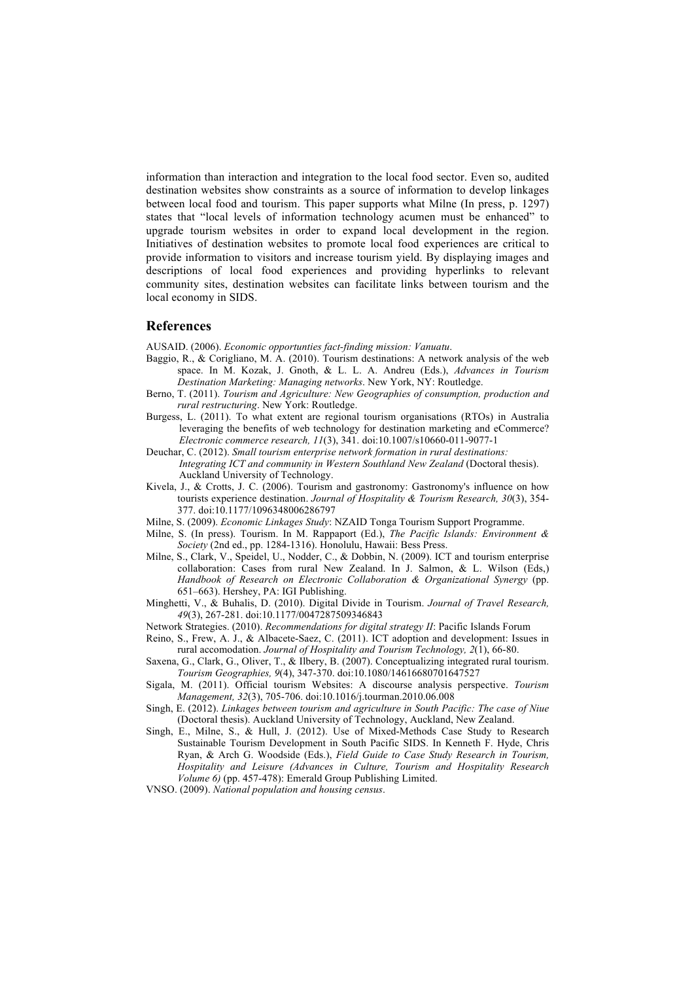information than interaction and integration to the local food sector. Even so, audited destination websites show constraints as a source of information to develop linkages between local food and tourism. This paper supports what Milne (In press, p. 1297) states that "local levels of information technology acumen must be enhanced" to upgrade tourism websites in order to expand local development in the region. Initiatives of destination websites to promote local food experiences are critical to provide information to visitors and increase tourism yield. By displaying images and descriptions of local food experiences and providing hyperlinks to relevant community sites, destination websites can facilitate links between tourism and the local economy in SIDS.

#### **References**

AUSAID. (2006). *Economic opportunties fact-finding mission: Vanuatu*.

- Baggio, R., & Corigliano, M. A. (2010). Tourism destinations: A network analysis of the web space. In M. Kozak, J. Gnoth, & L. L. A. Andreu (Eds.), *Advances in Tourism Destination Marketing: Managing networks*. New York, NY: Routledge.
- Berno, T. (2011). *Tourism and Agriculture: New Geographies of consumption, production and rural restructuring*. New York: Routledge.
- Burgess, L. (2011). To what extent are regional tourism organisations (RTOs) in Australia leveraging the benefits of web technology for destination marketing and eCommerce? *Electronic commerce research, 11*(3), 341. doi:10.1007/s10660-011-9077-1

Deuchar, C. (2012). *Small tourism enterprise network formation in rural destinations:* 

- *Integrating ICT and community in Western Southland New Zealand* (Doctoral thesis). Auckland University of Technology.
- Kivela, J., & Crotts, J. C. (2006). Tourism and gastronomy: Gastronomy's influence on how tourists experience destination. *Journal of Hospitality & Tourism Research, 30*(3), 354- 377. doi:10.1177/1096348006286797
- Milne, S. (2009). *Economic Linkages Study*: NZAID Tonga Tourism Support Programme.
- Milne, S. (In press). Tourism. In M. Rappaport (Ed.), *The Pacific Islands: Environment & Society* (2nd ed., pp. 1284-1316). Honolulu, Hawaii: Bess Press.
- Milne, S., Clark, V., Speidel, U., Nodder, C., & Dobbin, N. (2009). ICT and tourism enterprise collaboration: Cases from rural New Zealand. In J. Salmon, & L. Wilson (Eds,) *Handbook of Research on Electronic Collaboration & Organizational Synergy* (pp. 651–663). Hershey, PA: IGI Publishing.
- Minghetti, V., & Buhalis, D. (2010). Digital Divide in Tourism. *Journal of Travel Research, 49*(3), 267-281. doi:10.1177/0047287509346843
- Network Strategies. (2010). *Recommendations for digital strategy II*: Pacific Islands Forum
- Reino, S., Frew, A. J., & Albacete-Saez, C. (2011). ICT adoption and development: Issues in rural accomodation. *Journal of Hospitality and Tourism Technology, 2*(1), 66-80.
- Saxena, G., Clark, G., Oliver, T., & Ilbery, B. (2007). Conceptualizing integrated rural tourism. *Tourism Geographies, 9*(4), 347-370. doi:10.1080/14616680701647527
- Sigala, M. (2011). Official tourism Websites: A discourse analysis perspective. *Tourism Management, 32*(3), 705-706. doi:10.1016/j.tourman.2010.06.008
- Singh, E. (2012). *Linkages between tourism and agriculture in South Pacific: The case of Niue*  (Doctoral thesis). Auckland University of Technology, Auckland, New Zealand.
- Singh, E., Milne, S., & Hull, J. (2012). Use of Mixed-Methods Case Study to Research Sustainable Tourism Development in South Pacific SIDS. In Kenneth F. Hyde, Chris Ryan, & Arch G. Woodside (Eds.), *Field Guide to Case Study Research in Tourism, Hospitality and Leisure (Advances in Culture, Tourism and Hospitality Research Volume 6)* (pp. 457-478): Emerald Group Publishing Limited.
- VNSO. (2009). *National population and housing census*.